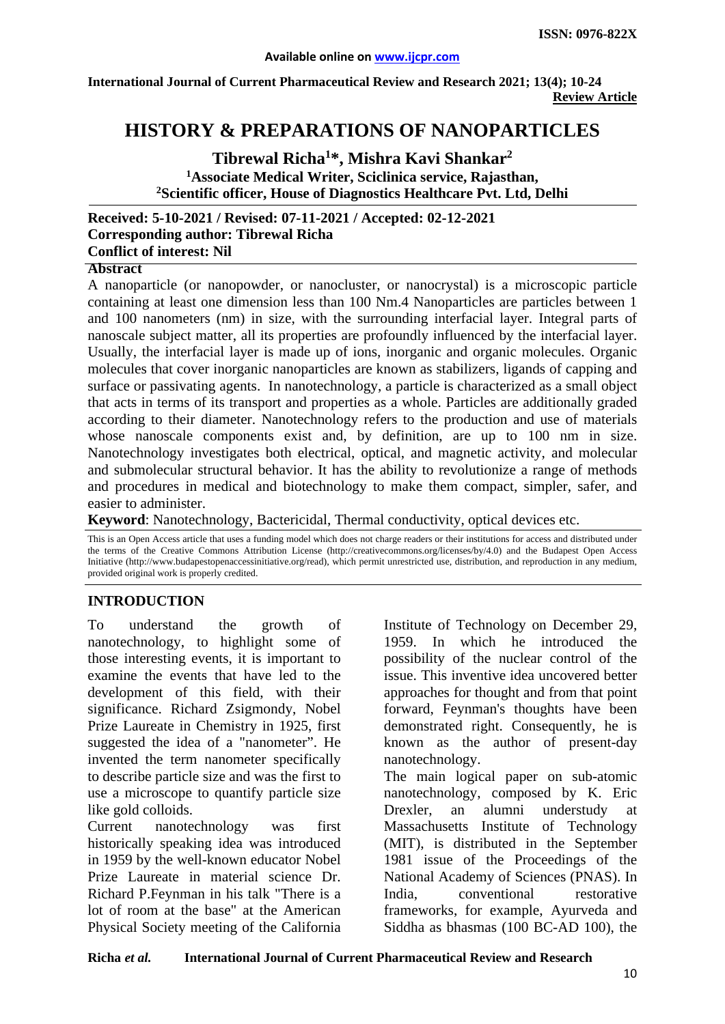**International Journal of Current Pharmaceutical Review and Research 2021; 13(4); 10-24 Review Article**

# **HISTORY & PREPARATIONS OF NANOPARTICLES**

## **Tibrewal Richa<sup>1</sup> \*, Mishra Kavi Shankar2 1 Associate Medical Writer, Sciclinica service, Rajasthan, 2 Scientific officer, House of Diagnostics Healthcare Pvt. Ltd, Delhi**

**Received: 5-10-2021 / Revised: 07-11-2021 / Accepted: 02-12-2021 Corresponding author: Tibrewal Richa Conflict of interest: Nil**

#### **Abstract**

A nanoparticle (or nanopowder, or nanocluster, or nanocrystal) is a microscopic particle containing at least one dimension less than 100 Nm.4 Nanoparticles are particles between 1 and 100 nanometers (nm) in size, with the surrounding interfacial layer. Integral parts of nanoscale subject matter, all its properties are profoundly influenced by the interfacial layer. Usually, the interfacial layer is made up of ions, inorganic and organic molecules. Organic molecules that cover inorganic nanoparticles are known as stabilizers, ligands of capping and surface or passivating agents. In nanotechnology, a particle is characterized as a small object that acts in terms of its transport and properties as a whole. Particles are additionally graded according to their diameter. Nanotechnology refers to the production and use of materials whose nanoscale components exist and, by definition, are up to 100 nm in size. Nanotechnology investigates both electrical, optical, and magnetic activity, and molecular and submolecular structural behavior. It has the ability to revolutionize a range of methods and procedures in medical and biotechnology to make them compact, simpler, safer, and easier to administer.

**Keyword**: Nanotechnology, Bactericidal, Thermal conductivity, optical devices etc.

This is an Open Access article that uses a funding model which does not charge readers or their institutions for access and distributed under the terms of the Creative Commons Attribution License (http://creativecommons.org/licenses/by/4.0) and the Budapest Open Access Initiative (http://www.budapestopenaccessinitiative.org/read), which permit unrestricted use, distribution, and reproduction in any medium, provided original work is properly credited.

### **INTRODUCTION**

To understand the growth of nanotechnology, to highlight some of those interesting events, it is important to examine the events that have led to the development of this field, with their significance. Richard Zsigmondy, Nobel Prize Laureate in Chemistry in 1925, first suggested the idea of a "nanometer". He invented the term nanometer specifically to describe particle size and was the first to use a microscope to quantify particle size like gold colloids.

Current nanotechnology was first historically speaking idea was introduced in 1959 by the well-known educator Nobel Prize Laureate in material science Dr. Richard P.Feynman in his talk "There is a lot of room at the base" at the American Physical Society meeting of the California

Institute of Technology on December 29, 1959. In which he introduced the possibility of the nuclear control of the issue. This inventive idea uncovered better approaches for thought and from that point forward, Feynman's thoughts have been demonstrated right. Consequently, he is known as the author of present-day nanotechnology.

The main logical paper on sub-atomic nanotechnology, composed by K. Eric Drexler, an alumni understudy Massachusetts Institute of Technology (MIT), is distributed in the September 1981 issue of the Proceedings of the National Academy of Sciences (PNAS). In India, conventional restorative frameworks, for example, Ayurveda and Siddha as bhasmas (100 BC-AD 100), the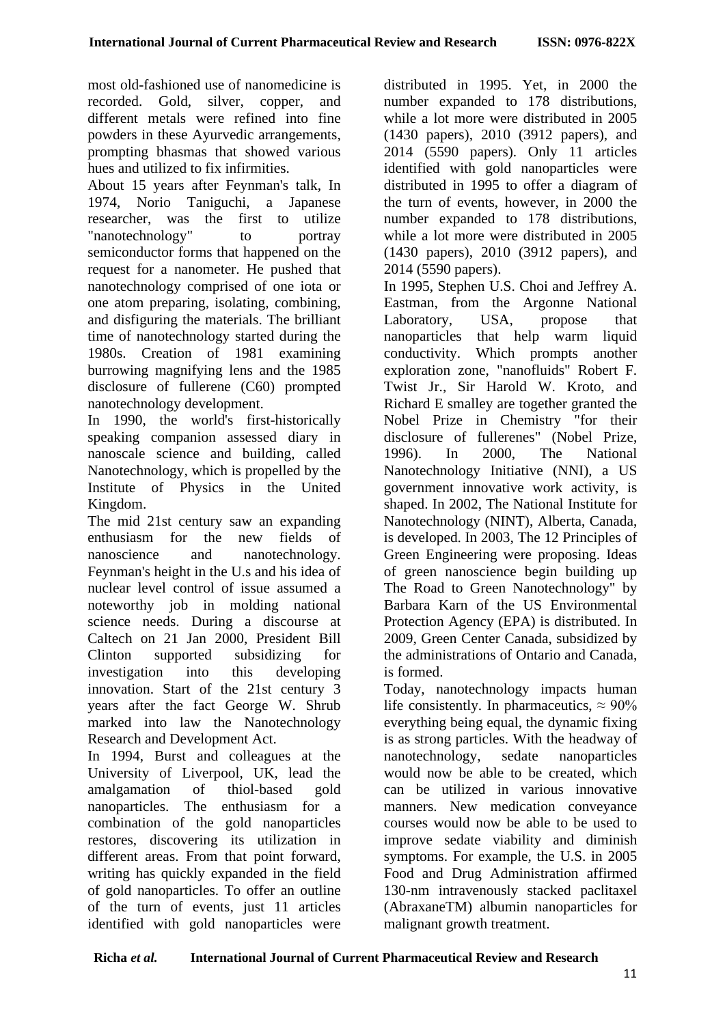most old-fashioned use of nanomedicine is recorded. Gold, silver, copper, and different metals were refined into fine powders in these Ayurvedic arrangements, prompting bhasmas that showed various hues and utilized to fix infirmities.

About 15 years after Feynman's talk, In 1974, Norio Taniguchi, a Japanese researcher, was the first to utilize "nanotechnology" to portray semiconductor forms that happened on the request for a nanometer. He pushed that nanotechnology comprised of one iota or one atom preparing, isolating, combining, and disfiguring the materials. The brilliant time of nanotechnology started during the 1980s. Creation of 1981 examining burrowing magnifying lens and the 1985 disclosure of fullerene (C60) prompted nanotechnology development.

In 1990, the world's first-historically speaking companion assessed diary in nanoscale science and building, called Nanotechnology, which is propelled by the Institute of Physics in the United Kingdom.

The mid 21st century saw an expanding enthusiasm for the new fields of nanoscience and nanotechnology. Feynman's height in the U.s and his idea of nuclear level control of issue assumed a noteworthy job in molding national science needs. During a discourse at Caltech on 21 Jan 2000, President Bill Clinton supported subsidizing for investigation into this developing innovation. Start of the 21st century 3 years after the fact George W. Shrub marked into law the Nanotechnology Research and Development Act.

In 1994, Burst and colleagues at the University of Liverpool, UK, lead the amalgamation of thiol-based gold nanoparticles. The enthusiasm for a combination of the gold nanoparticles restores, discovering its utilization in different areas. From that point forward, writing has quickly expanded in the field of gold nanoparticles. To offer an outline of the turn of events, just 11 articles identified with gold nanoparticles were

distributed in 1995. Yet, in 2000 the number expanded to 178 distributions, while a lot more were distributed in 2005 (1430 papers), 2010 (3912 papers), and 2014 (5590 papers). Only 11 articles identified with gold nanoparticles were distributed in 1995 to offer a diagram of the turn of events, however, in 2000 the number expanded to 178 distributions, while a lot more were distributed in 2005 (1430 papers), 2010 (3912 papers), and 2014 (5590 papers).

In 1995, Stephen U.S. Choi and Jeffrey A. Eastman, from the Argonne National Laboratory, USA, propose that nanoparticles that help warm liquid conductivity. Which prompts another exploration zone, "nanofluids" Robert F. Twist Jr., Sir Harold W. Kroto, and Richard E smalley are together granted the Nobel Prize in Chemistry "for their disclosure of fullerenes" (Nobel Prize, 1996). In 2000, The National Nanotechnology Initiative (NNI), a US government innovative work activity, is shaped. In 2002, The National Institute for Nanotechnology (NINT), Alberta, Canada, is developed. In 2003, The 12 Principles of Green Engineering were proposing. Ideas of green nanoscience begin building up The Road to Green Nanotechnology" by Barbara Karn of the US Environmental Protection Agency (EPA) is distributed. In 2009, Green Center Canada, subsidized by the administrations of Ontario and Canada, is formed.

Today, nanotechnology impacts human life consistently. In pharmaceutics,  $\approx 90\%$ everything being equal, the dynamic fixing is as strong particles. With the headway of nanotechnology, sedate nanoparticles would now be able to be created, which can be utilized in various innovative manners. New medication conveyance courses would now be able to be used to improve sedate viability and diminish symptoms. For example, the U.S. in 2005 Food and Drug Administration affirmed 130-nm intravenously stacked paclitaxel (AbraxaneTM) albumin nanoparticles for malignant growth treatment.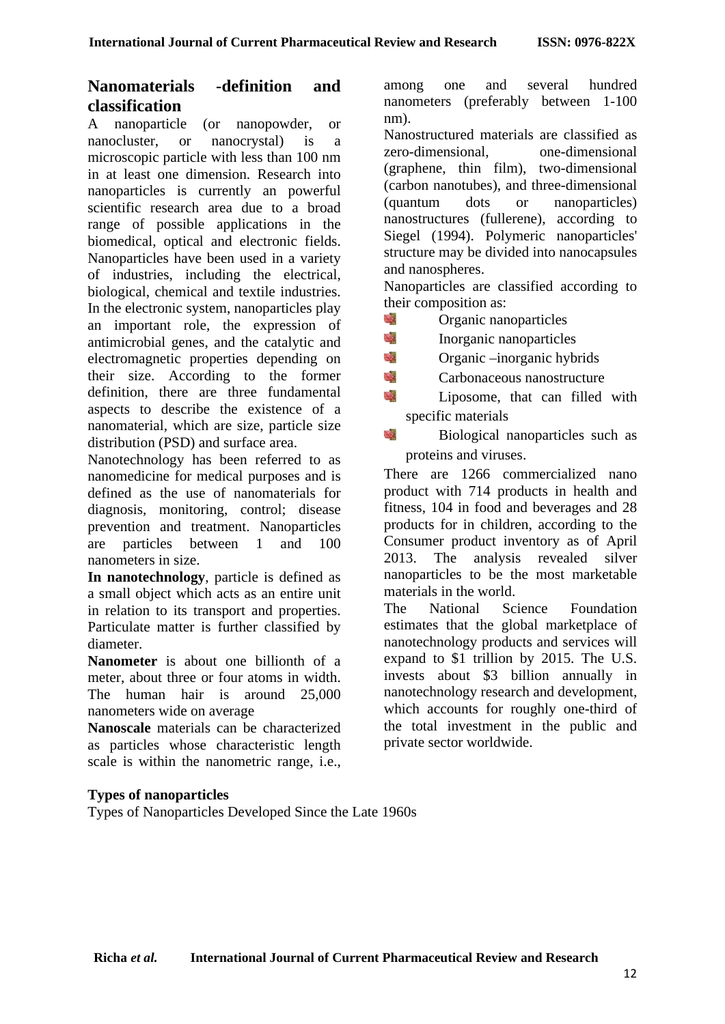# **Nanomaterials -definition and classification**

A nanoparticle (or nanopowder, or nanocluster, or nanocrystal) is a microscopic particle with less than 100 nm in at least one dimension. Research into nanoparticles is currently an powerful scientific research area due to a broad range of possible applications in the biomedical, optical and electronic fields. Nanoparticles have been used in a variety of industries, including the electrical, biological, chemical and textile industries. In the electronic system, nanoparticles play an important role, the expression of antimicrobial genes, and the catalytic and electromagnetic properties depending on their size. According to the former definition, there are three fundamental aspects to describe the existence of a nanomaterial, which are size, particle size distribution (PSD) and surface area.

Nanotechnology has been referred to as nanomedicine for medical purposes and is defined as the use of nanomaterials for diagnosis, monitoring, control; disease prevention and treatment. Nanoparticles are particles between 1 and 100 nanometers in size.

**In nanotechnology**, particle is defined as a small object which acts as an entire unit in relation to its transport and properties. Particulate matter is further classified by diameter.

**Nanometer** is about one billionth of a meter, about three or four atoms in width. The human hair is around 25,000 nanometers wide on average

**Nanoscale** materials can be characterized as particles whose characteristic length scale is within the nanometric range, i.e.,

### among one and several hundred nanometers (preferably between 1-100 nm).

Nanostructured materials are classified as zero-dimensional, one-dimensional (graphene, thin film), two-dimensional (carbon nanotubes), and three-dimensional (quantum dots or nanoparticles) nanostructures (fullerene), according to Siegel (1994). Polymeric nanoparticles' structure may be divided into nanocapsules and nanospheres.

Nanoparticles are classified according to their composition as:

**Yes** Organic nanoparticles

N. Inorganic nanoparticles

N. Organic –inorganic hybrids

N. Carbonaceous nanostructure

- $\mathbb{N}_\ell$ Liposome, that can filled with specific materials
- **No** Biological nanoparticles such as proteins and viruses.

There are 1266 commercialized nano product with 714 products in health and fitness, 104 in food and beverages and 28 products for in children, according to the Consumer product inventory as of April 2013. The analysis revealed silver nanoparticles to be the most marketable materials in the world.

The National Science Foundation estimates that the global marketplace of nanotechnology products and services will expand to \$1 trillion by 2015. The U.S. invests about \$3 billion annually in nanotechnology research and development, which accounts for roughly one-third of the total investment in the public and private sector worldwide.

# **Types of nanoparticles**

Types of Nanoparticles Developed Since the Late 1960s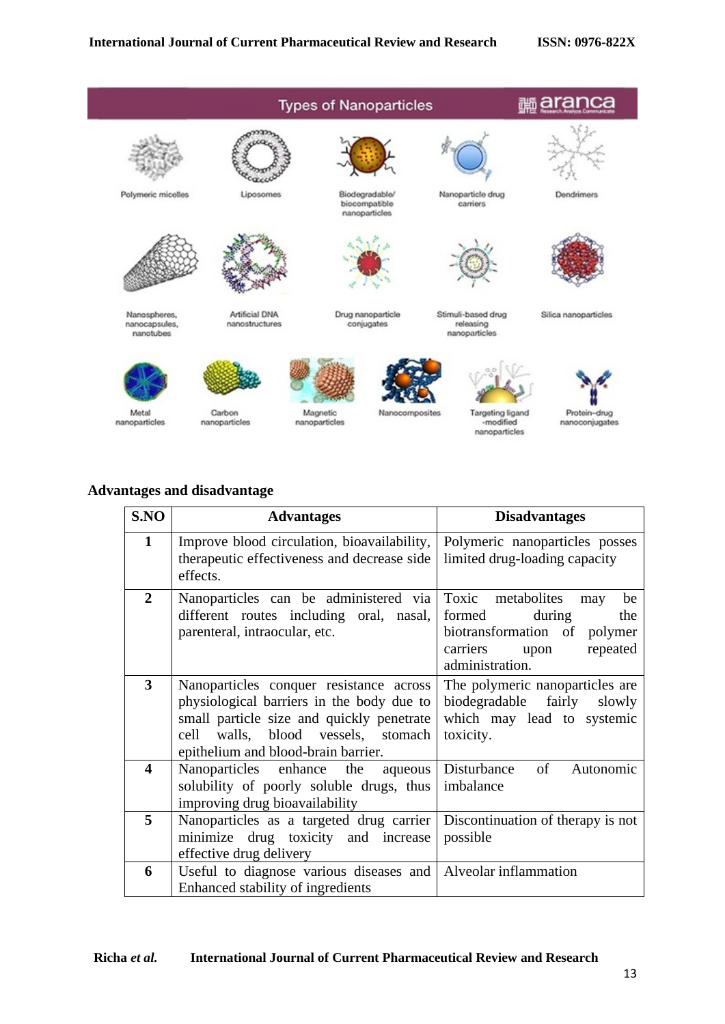

#### Metal nanoparticles

Carbon nanoparticles

Magnetic nanoparticles



Nanocomposites

Targeting ligand -modified nanoparticles



#### Protein-drug nanoconjugates

#### **Advantages and disadvantage**

| S.NO                    | <b>Advantages</b>                                                                                                                                                                                              | <b>Disadvantages</b>                                                                                                                      |
|-------------------------|----------------------------------------------------------------------------------------------------------------------------------------------------------------------------------------------------------------|-------------------------------------------------------------------------------------------------------------------------------------------|
| $\mathbf{1}$            | Improve blood circulation, bioavailability,<br>therapeutic effectiveness and decrease side<br>effects.                                                                                                         | Polymeric nanoparticles posses<br>limited drug-loading capacity                                                                           |
| 2                       | Nanoparticles can be administered via<br>different routes including oral, nasal,<br>parenteral, intraocular, etc.                                                                                              | Toxic metabolites<br>be<br>may<br>formed<br>during<br>the<br>biotransformation of polymer<br>carriers upon<br>repeated<br>administration. |
| 3                       | Nanoparticles conquer resistance across<br>physiological barriers in the body due to<br>small particle size and quickly penetrate<br>cell walls, blood vessels, stomach<br>epithelium and blood-brain barrier. | The polymeric nanoparticles are<br>biodegradable fairly slowly<br>which may lead to systemic<br>toxicity.                                 |
| $\overline{\mathbf{4}}$ | Nanoparticles enhance the aqueous<br>solubility of poorly soluble drugs, thus<br>improving drug bioavailability                                                                                                | Disturbance of<br>Autonomic<br>imbalance                                                                                                  |
| 5                       | Nanoparticles as a targeted drug carrier<br>minimize drug toxicity and increase<br>effective drug delivery                                                                                                     | Discontinuation of therapy is not<br>possible                                                                                             |
| 6                       | Useful to diagnose various diseases and<br>Enhanced stability of ingredients                                                                                                                                   | Alveolar inflammation                                                                                                                     |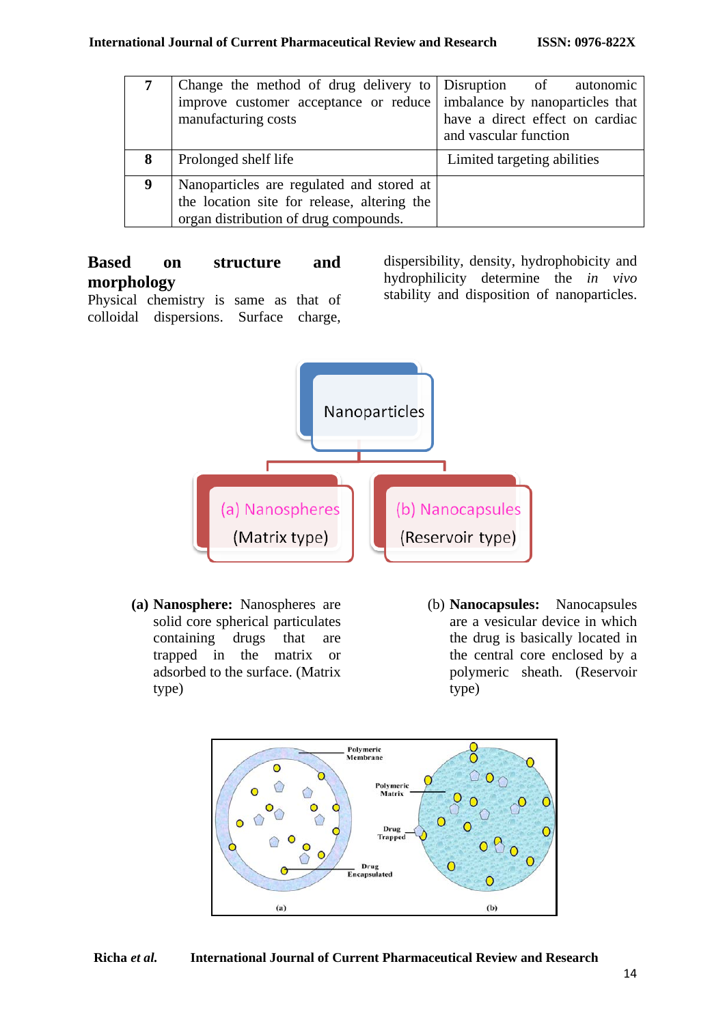|   | Change the method of drug delivery to Disruption of autonomic<br>improve customer acceptance or reduce imbalance by nanoparticles that<br>manufacturing costs | have a direct effect on cardiac<br>and vascular function |
|---|---------------------------------------------------------------------------------------------------------------------------------------------------------------|----------------------------------------------------------|
| 8 | Prolonged shelf life                                                                                                                                          | Limited targeting abilities                              |
| 9 | Nanoparticles are regulated and stored at<br>the location site for release, altering the<br>organ distribution of drug compounds.                             |                                                          |

# **Based on structure and morphology**

dispersibility, density, hydrophobicity and hydrophilicity determine the *in vivo* stability and disposition of nanoparticles.

Physical chemistry is same as that of colloidal dispersions. Surface charge,



- **(a) Nanosphere:** Nanospheres are solid core spherical particulates containing drugs that are trapped in the matrix or adsorbed to the surface. (Matrix type)
- (b) **Nanocapsules:** Nanocapsules are a vesicular device in which the drug is basically located in the central core enclosed by a polymeric sheath. (Reservoir type)



#### **Richa** *et al.* **International Journal of Current Pharmaceutical Review and Research**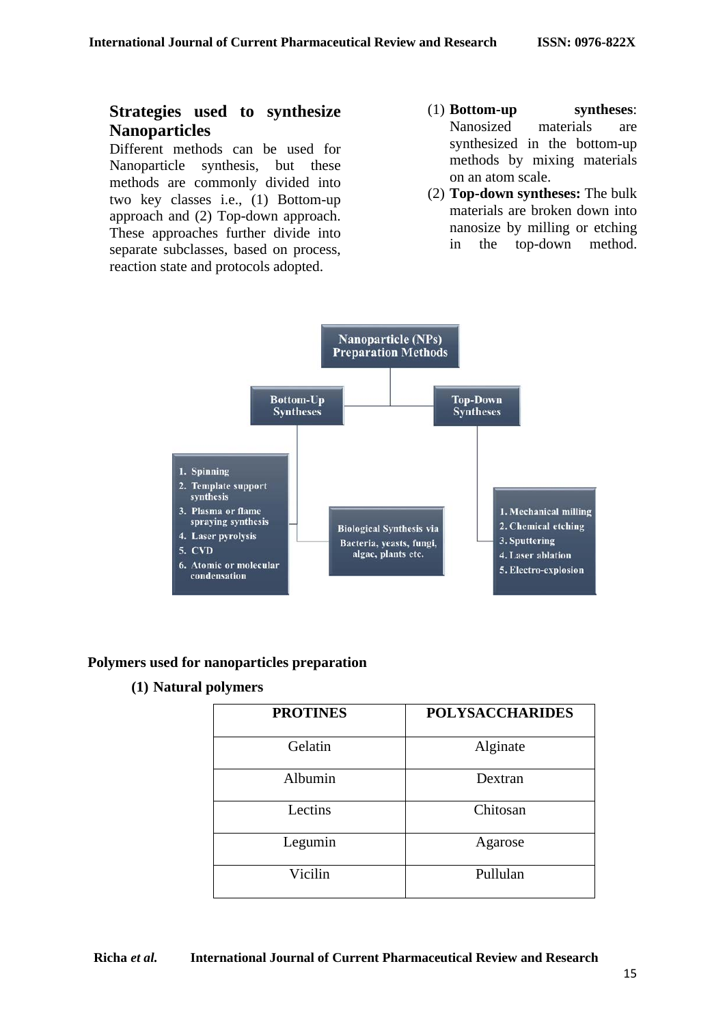# **Strategies used to synthesize Nanoparticles**

Different methods can be used for Nanoparticle synthesis, but these methods are commonly divided into two key classes i.e., (1) Bottom-up approach and (2) Top-down approach. These approaches further divide into separate subclasses, based on process, reaction state and protocols adopted.

- (1) **Bottom-up syntheses**: Nanosized materials are synthesized in the bottom-up methods by mixing materials on an atom scale.
- (2) **Top-down syntheses:** The bulk materials are broken down into nanosize by milling or etching in the top-down method.



### **Polymers used for nanoparticles preparation**

#### **(1) Natural polymers**

| <b>PROTINES</b> | <b>POLYSACCHARIDES</b> |
|-----------------|------------------------|
| Gelatin         | Alginate               |
| Albumin         | Dextran                |
| Lectins         | Chitosan               |
| Legumin         | Agarose                |
| Vicilin         | Pullulan               |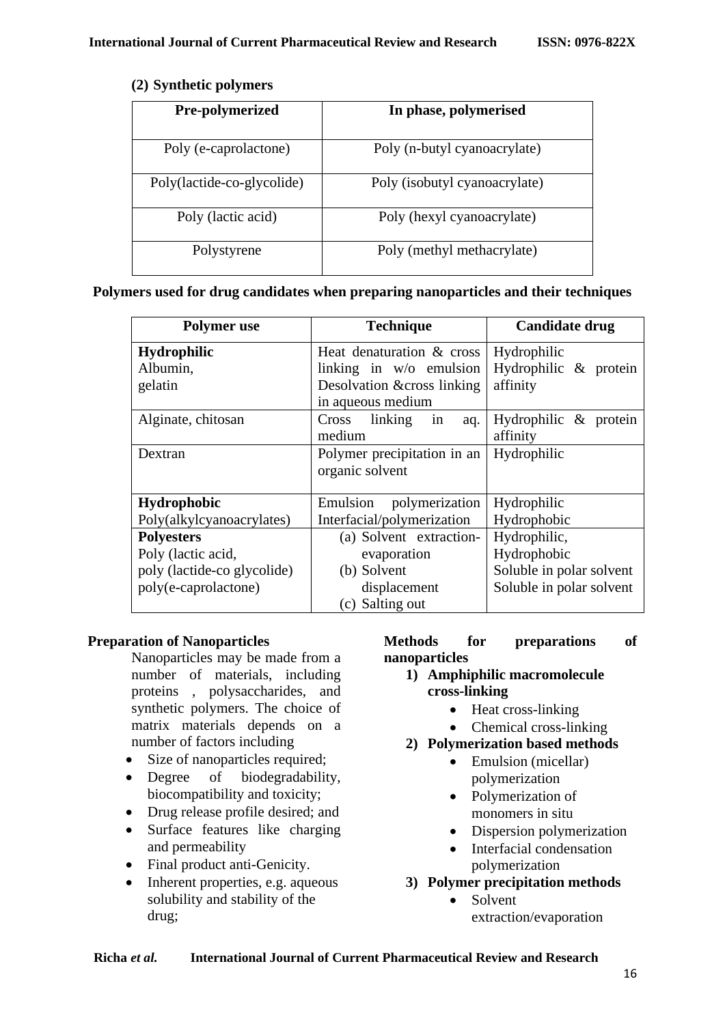### **(2) Synthetic polymers**

| <b>Pre-polymerized</b>     | In phase, polymerised         |
|----------------------------|-------------------------------|
| Poly (e-caprolactone)      | Poly (n-butyl cyanoacrylate)  |
| Poly(lactide-co-glycolide) | Poly (isobutyl cyanoacrylate) |
| Poly (lactic acid)         | Poly (hexyl cyanoacrylate)    |
| Polystyrene                | Poly (methyl methacrylate)    |

**Polymers used for drug candidates when preparing nanoparticles and their techniques**

| <b>Polymer</b> use          | <b>Technique</b>            | <b>Candidate drug</b>    |
|-----------------------------|-----------------------------|--------------------------|
| <b>Hydrophilic</b>          | Heat denaturation & cross   | Hydrophilic              |
| Albumin,                    | linking in $w/o$ emulsion   | Hydrophilic & protein    |
| gelatin                     | Desolvation & cross linking | affinity                 |
|                             | in aqueous medium           |                          |
| Alginate, chitosan          | Cross linking<br>in<br>aq.  | Hydrophilic & protein    |
|                             | medium                      | affinity                 |
| Dextran                     | Polymer precipitation in an | Hydrophilic              |
|                             | organic solvent             |                          |
|                             |                             |                          |
| Hydrophobic                 | polymerization<br>Emulsion  | Hydrophilic              |
| Poly(alkylcyanoacrylates)   | Interfacial/polymerization  | Hydrophobic              |
| <b>Polyesters</b>           | (a) Solvent extraction-     | Hydrophilic,             |
| Poly (lactic acid,          | evaporation                 | Hydrophobic              |
| poly (lactide-co glycolide) | (b) Solvent                 | Soluble in polar solvent |
| poly(e-caprolactone)        | displacement                | Soluble in polar solvent |
|                             | (c) Salting out             |                          |

### **Preparation of Nanoparticles**

Nanoparticles may be made from a number of materials, including proteins , polysaccharides, and synthetic polymers. The choice of matrix materials depends on a number of factors including

- Size of nanoparticles required;
- Degree of biodegradability, biocompatibility and toxicity;
- Drug release profile desired; and
- Surface features like charging and permeability
- Final product anti-Genicity.
- Inherent properties, e.g. aqueous solubility and stability of the drug;

## **Methods for preparations of nanoparticles**

- **1) Amphiphilic macromolecule cross-linking**
	- Heat cross-linking
	- Chemical cross-linking
- **2) Polymerization based methods**
	- Emulsion (micellar) polymerization
	- Polymerization of monomers in situ
	- Dispersion polymerization
	- Interfacial condensation polymerization
- **3) Polymer precipitation methods**
	- Solvent
		- extraction/evaporation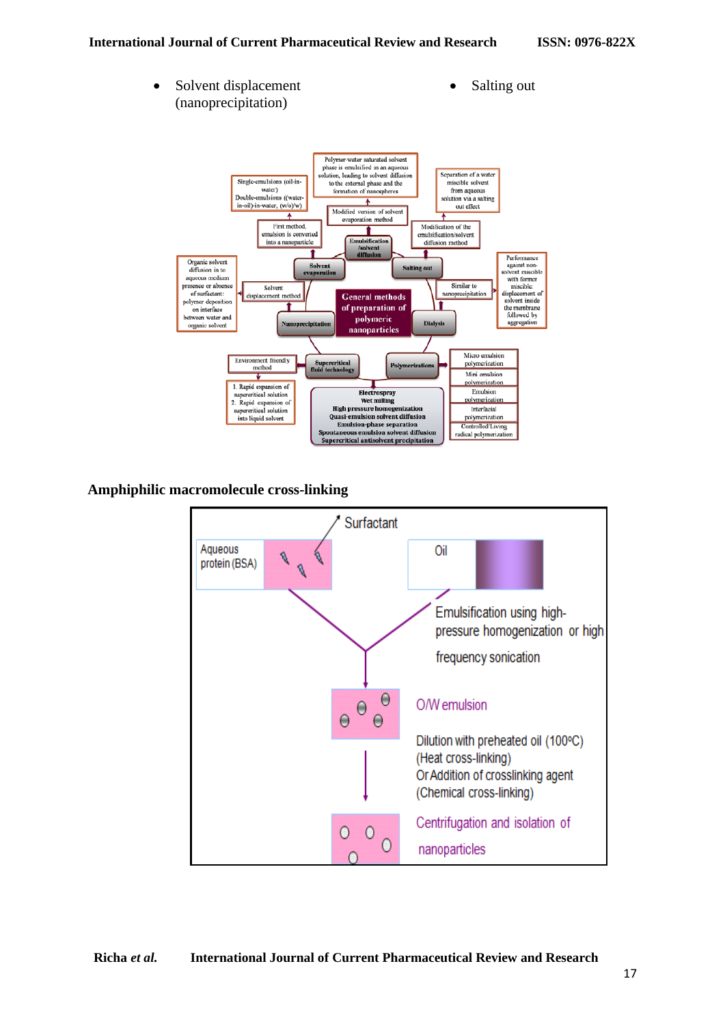Solvent displacement (nanoprecipitation) Salting out



**Amphiphilic macromolecule cross-linking**

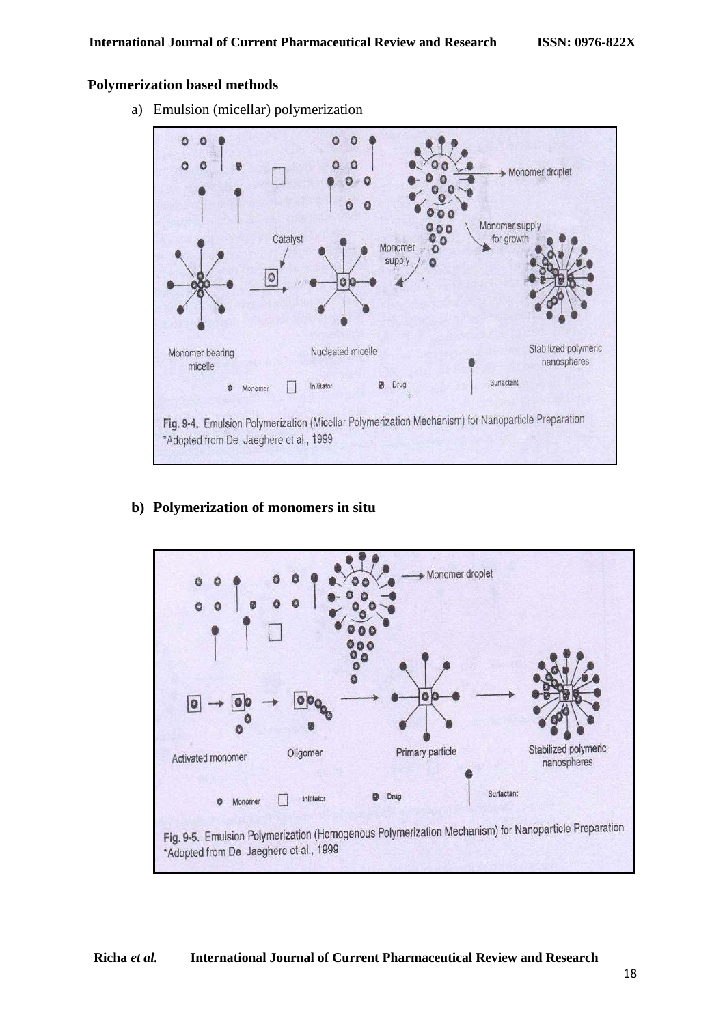#### **Polymerization based methods**

a) Emulsion (micellar) polymerization



#### **b) Polymerization of monomers in situ**

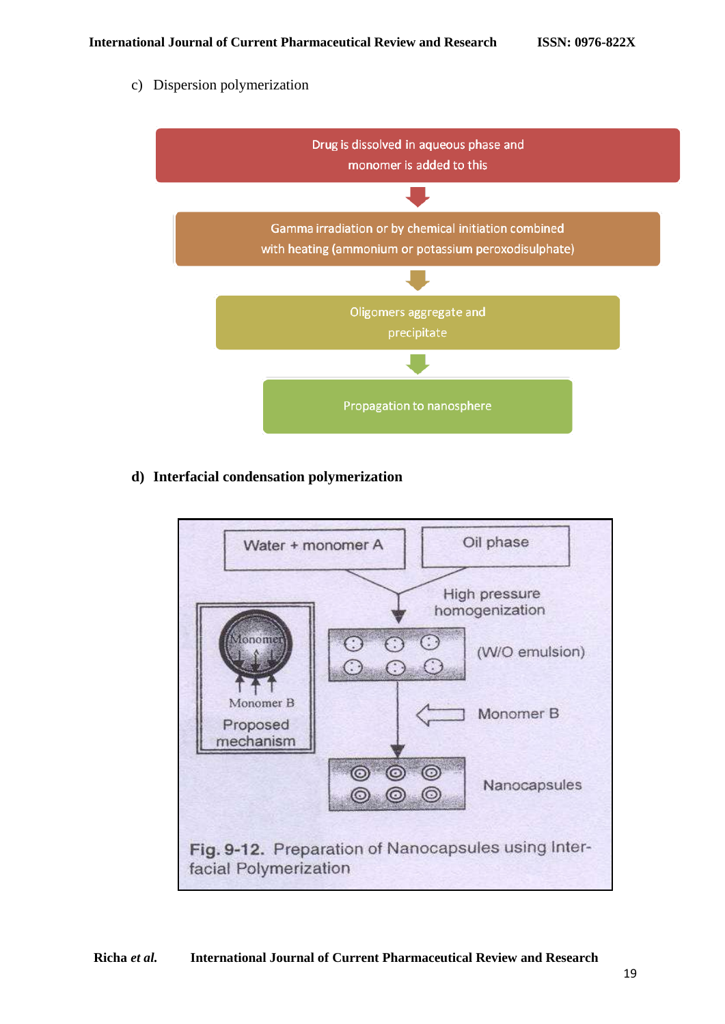c) Dispersion polymerization



#### **d) Interfacial condensation polymerization**

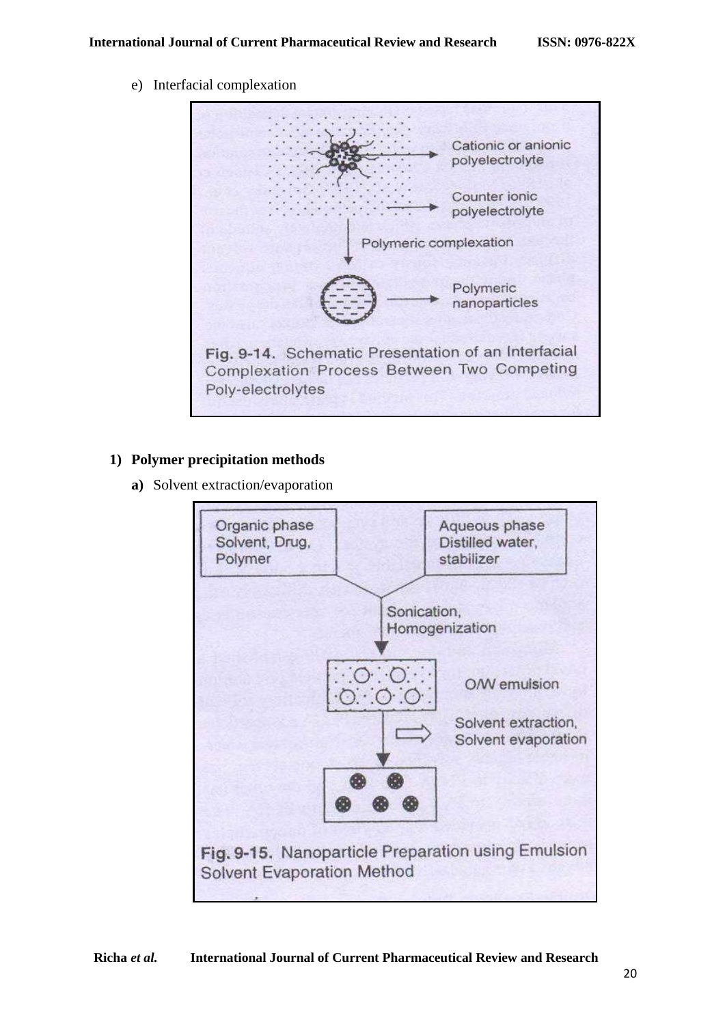e) Interfacial complexation



#### **1) Polymer precipitation methods**

**a)** Solvent extraction/evaporation

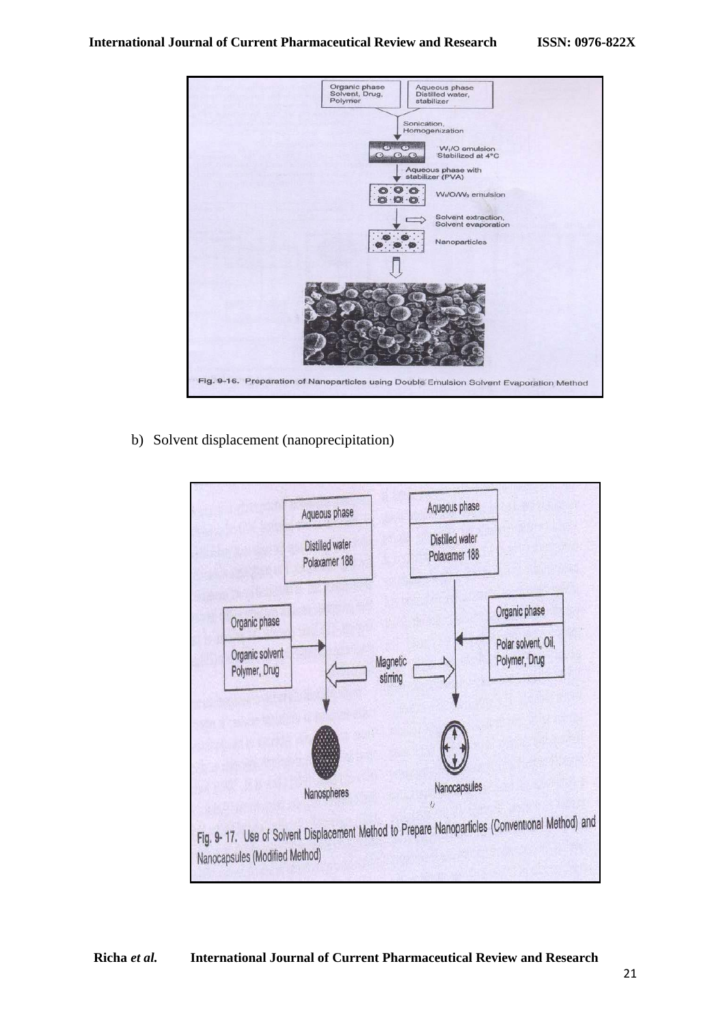

b) Solvent displacement (nanoprecipitation)

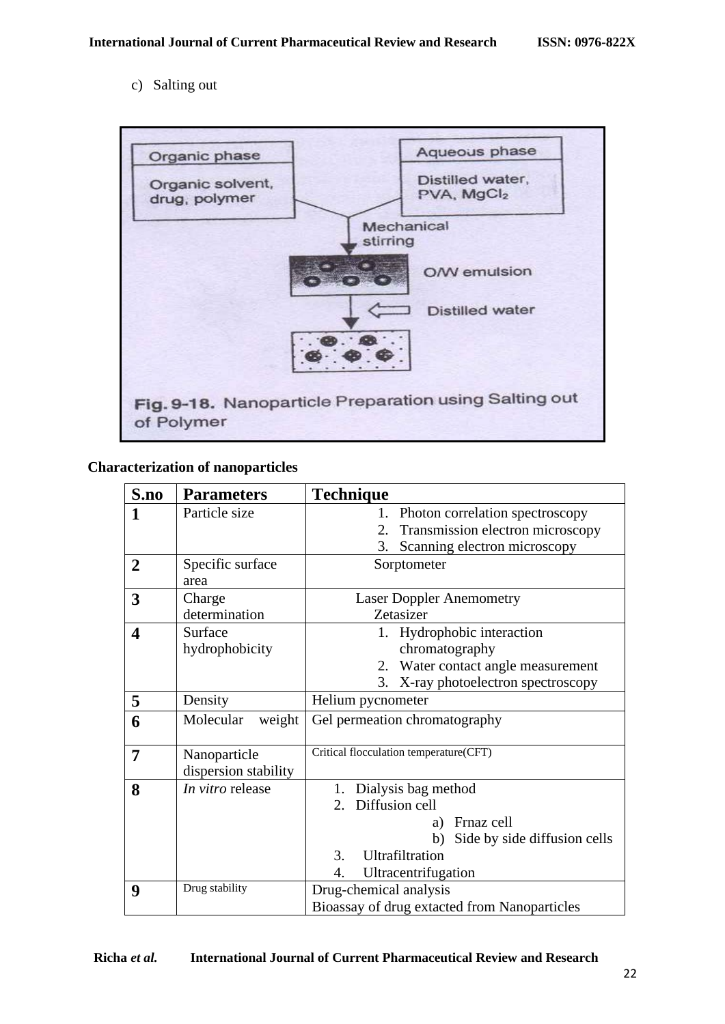c) Salting out



## **Characterization of nanoparticles**

| S.no           | <b>Parameters</b>    | <b>Technique</b>                             |  |
|----------------|----------------------|----------------------------------------------|--|
| 1              | Particle size        | 1. Photon correlation spectroscopy           |  |
|                |                      | 2. Transmission electron microscopy          |  |
|                |                      | Scanning electron microscopy<br>3.           |  |
| $\overline{2}$ | Specific surface     | Sorptometer                                  |  |
|                | area                 |                                              |  |
| 3              | Charge               | <b>Laser Doppler Anemometry</b>              |  |
|                | determination        | Zetasizer                                    |  |
| 4              | Surface              | 1. Hydrophobic interaction                   |  |
|                | hydrophobicity       | chromatography                               |  |
|                |                      | 2. Water contact angle measurement           |  |
|                |                      | 3. X-ray photoelectron spectroscopy          |  |
| 5              | Density              | Helium pycnometer                            |  |
| 6              | weight<br>Molecular  | Gel permeation chromatography                |  |
| 7              | Nanoparticle         | Critical flocculation temperature(CFT)       |  |
|                | dispersion stability |                                              |  |
| 8              | In vitro release     | Dialysis bag method<br>1.                    |  |
|                |                      | Diffusion cell<br>2.                         |  |
|                |                      | Frnaz cell<br>a)                             |  |
|                |                      | Side by side diffusion cells<br>b)           |  |
|                |                      | Ultrafiltration<br>3.                        |  |
|                |                      | Ultracentrifugation<br>4.                    |  |
| 9              | Drug stability       | Drug-chemical analysis                       |  |
|                |                      | Bioassay of drug extacted from Nanoparticles |  |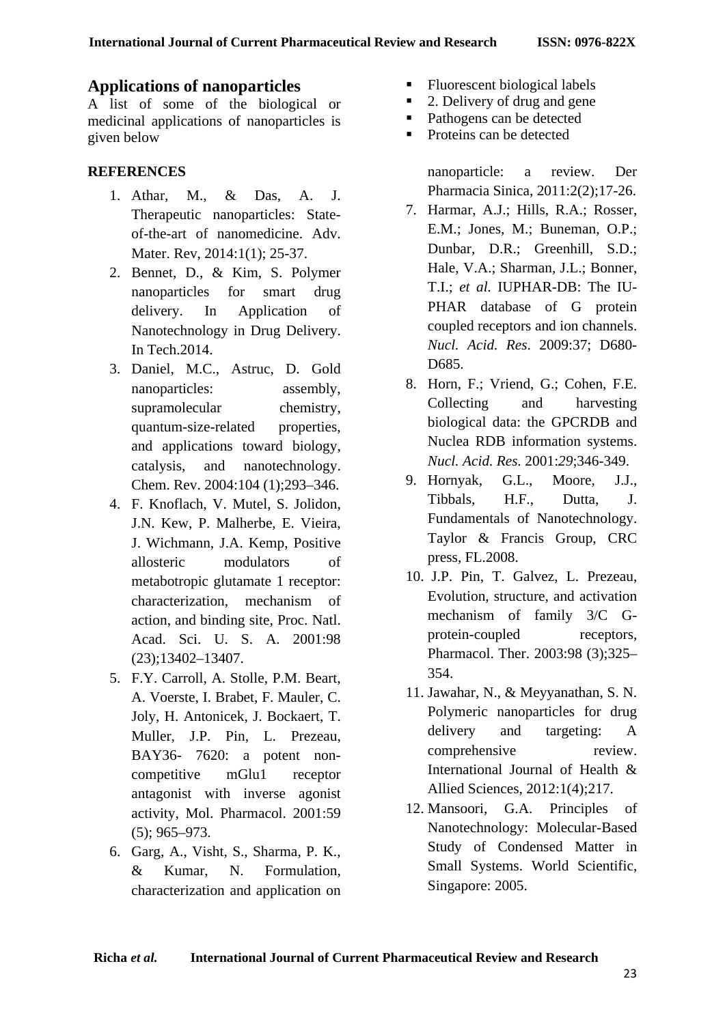# **Applications of nanoparticles**

A list of some of the biological or medicinal applications of nanoparticles is given below

# **REFERENCES**

- 1. Athar, M., & Das, A. J. Therapeutic nanoparticles: Stateof-the-art of nanomedicine. Adv. Mater. Rev, 2014:1(1); 25-37.
- 2. Bennet, D., & Kim, S. Polymer nanoparticles for smart drug delivery. In Application of Nanotechnology in Drug Delivery. In Tech.2014.
- 3. Daniel, M.C., Astruc, D. Gold nanoparticles: assembly, supramolecular chemistry, quantum-size-related properties, and applications toward biology, catalysis, and nanotechnology. Chem. Rev. 2004:104 (1);293–346.
- 4. F. Knoflach, V. Mutel, S. Jolidon, J.N. Kew, P. Malherbe, E. Vieira, J. Wichmann, J.A. Kemp, Positive allosteric modulators of metabotropic glutamate 1 receptor: characterization, mechanism of action, and binding site, Proc. Natl. Acad. Sci. U. S. A. 2001:98 (23);13402–13407.
- 5. F.Y. Carroll, A. Stolle, P.M. Beart, A. Voerste, I. Brabet, F. Mauler, C. Joly, H. Antonicek, J. Bockaert, T. Muller, J.P. Pin, L. Prezeau, BAY36- 7620: a potent noncompetitive mGlu1 receptor antagonist with inverse agonist activity, Mol. Pharmacol. 2001:59 (5); 965–973.
- 6. Garg, A., Visht, S., Sharma, P. K., & Kumar, N. Formulation, characterization and application on
- Fluorescent biological labels
- 2. Delivery of drug and gene
- Pathogens can be detected
- Proteins can be detected

nanoparticle: a review. Der Pharmacia Sinica, 2011:2(2);17-26.

- 7. Harmar, A.J.; Hills, R.A.; Rosser, E.M.; Jones, M.; Buneman, O.P.; Dunbar, D.R.; Greenhill, S.D.; Hale, V.A.; Sharman, J.L.; Bonner, T.I.; *et al.* IUPHAR-DB: The IU-PHAR database of G protein coupled receptors and ion channels. *Nucl. Acid. Res*. 2009:37; D680- D685.
- 8. Horn, F.; Vriend, G.; Cohen, F.E. Collecting and harvesting biological data: the GPCRDB and Nuclea RDB information systems. *Nucl. Acid. Res.* 2001:*29*;346-349.
- 9. Hornyak, G.L., Moore, J.J., Tibbals, H.F., Dutta, J. Fundamentals of Nanotechnology. Taylor & Francis Group, CRC press, FL.2008.
- 10. J.P. Pin, T. Galvez, L. Prezeau, Evolution, structure, and activation mechanism of family 3/C Gprotein-coupled receptors, Pharmacol. Ther. 2003:98 (3);325– 354.
- 11. Jawahar, N., & Meyyanathan, S. N. Polymeric nanoparticles for drug delivery and targeting: A comprehensive review. International Journal of Health & Allied Sciences, 2012:1(4);217.
- 12. Mansoori, G.A. Principles of Nanotechnology: Molecular-Based Study of Condensed Matter in Small Systems. World Scientific, Singapore: 2005.